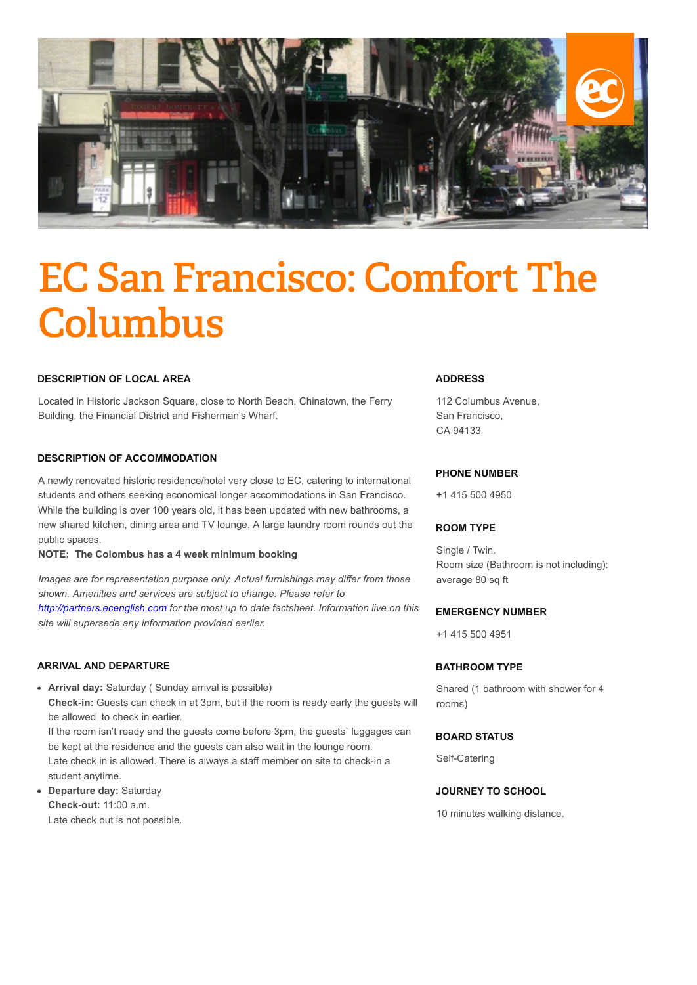

# EC San Francisco: Comfort The **Columbus**

#### **DESCRIPTION OF LOCAL AREA**

Located in Historic Jackson Square, close to North Beach, Chinatown, the Ferry Building, the Financial District and Fisherman's Wharf.

### **DESCRIPTION OF ACCOMMODATION**

A newly renovated historic residence/hotel very close to EC, catering to international students and others seeking economical longer accommodations in San Francisco. While the building is over 100 years old, it has been updated with new bathrooms, a new shared kitchen, dining area and TV lounge. A large laundry room rounds out the public spaces.

#### **NOTE: The Colombus has a 4 week minimum booking**

*Images are for representation purpose only. Actual furnishings may differ from those shown. Amenities and services are subject to change. Please refer to [http://partners.ecenglish.com](http://partners.ecenglish.com/) for the most up to date factsheet. Information live on this site will supersede any information provided earlier.*

#### **ARRIVAL AND DEPARTURE**

- **Arrival day:** Saturday ( Sunday arrival is possible) **Check-in:** Guests can check in at 3pm, but if the room is ready early the guests will be allowed to check in earlier. If the room isn't ready and the guests come before 3pm, the guests` luggages can be kept at the residence and the guests can also wait in the lounge room. Late check in is allowed. There is always a staff member on site to check-in a student anytime.
- **Departure day:** Saturday **Check-out:** 11:00 a.m. Late check out is not possible.

#### **ADDRESS**

112 Columbus Avenue, San Francisco, CA 94133

#### **PHONE NUMBER**

+1 415 500 4950

#### **ROOM TYPE**

Single / Twin. Room size (Bathroom is not including): average 80 sq ft

#### **EMERGENCY NUMBER**

+1 415 500 4951

### **BATHROOM TYPE**

Shared (1 bathroom with shower for 4 rooms)

#### **BOARD STATUS**

Self-Catering

# **JOURNEY TO SCHOOL**

10 minutes walking distance.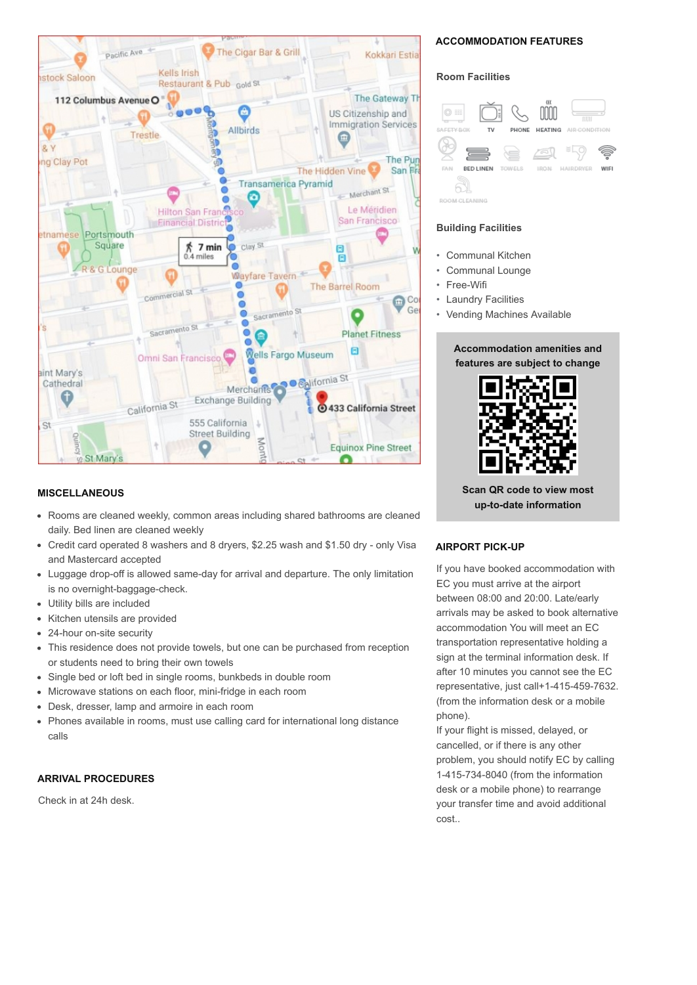

### **MISCELLANEOUS**

- Rooms are cleaned weekly, common areas including shared bathrooms are cleaned daily. Bed linen are cleaned weekly
- Credit card operated 8 washers and 8 dryers, \$2.25 wash and \$1.50 dry only Visa and Mastercard accepted
- Luggage drop-off is allowed same-day for arrival and departure. The only limitation  $\bullet$ is no overnight-baggage-check.
- Utility bills are included  $\bullet$
- Kitchen utensils are provided  $\bullet$
- $\bullet$ 24-hour on-site security
- This residence does not provide towels, but one can be purchased from reception  $\bullet$ or students need to bring their own towels
- Single bed or loft bed in single rooms, bunkbeds in double room  $\bullet$
- Microwave stations on each floor, mini-fridge in each room  $\bullet$
- $\bullet$ Desk, dresser, lamp and armoire in each room
- $\bullet$ Phones available in rooms, must use calling card for international long distance calls

# **ARRIVAL PROCEDURES**

Check in at 24h desk.

# **ACCOMMODATION FEATURES**

#### **Room Facilities**



#### **Building Facilities**

- Communal Kitchen
- Communal Lounge
- Free-Wifi
- **Laundry Facilities**
- Vending Machines Available

# **Accommodation amenities and features are subject to change**



**Scan QR code to view most up-to-date information**

# **AIRPORT PICK-UP**

If you have booked accommodation with EC you must arrive at the airport between 08:00 and 20:00. Late/early arrivals may be asked to book alternative accommodation You will meet an EC transportation representative holding a sign at the terminal information desk. If after 10 minutes you cannot see the EC representative, just call+1-415-459-7632. (from the information desk or a mobile phone).

If your flight is missed, delayed, or cancelled, or if there is any other problem, you should notify EC by calling 1-415-734-8040 (from the information desk or a mobile phone) to rearrange your transfer time and avoid additional cost..